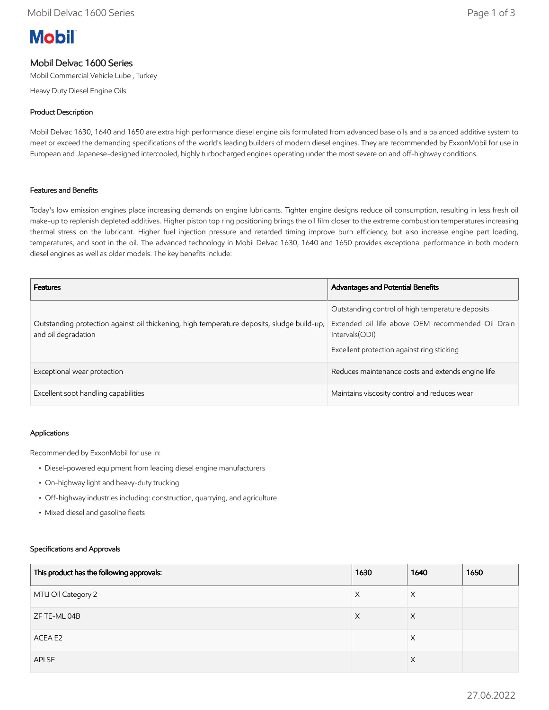# **Mobil**

# Mobil Delvac 1600 Series

Mobil Commercial Vehicle Lube , Turkey

Heavy Duty Diesel Engine Oils

### Product Description

Mobil Delvac 1630, 1640 and 1650 are extra high performance diesel engine oils formulated from advanced base oils and a balanced additive system to meet or exceed the demanding specifications of the world's leading builders of modern diesel engines. They are recommended by ExxonMobil for use in European and Japanese-designed intercooled, highly turbocharged engines operating under the most severe on and off-highway conditions.

#### Features and Benefits

Today's low emission engines place increasing demands on engine lubricants. Tighter engine designs reduce oil consumption, resulting in less fresh oil make-up to replenish depleted additives. Higher piston top ring positioning brings the oil film closer to the extreme combustion temperatures increasing thermal stress on the lubricant. Higher fuel injection pressure and retarded timing improve burn efficiency, but also increase engine part loading, temperatures, and soot in the oil. The advanced technology in Mobil Delvac 1630, 1640 and 1650 provides exceptional performance in both modern diesel engines as well as older models. The key benefits include:

| <b>Features</b>                                                                                                   | <b>Advantages and Potential Benefits</b>                                                                                                                               |
|-------------------------------------------------------------------------------------------------------------------|------------------------------------------------------------------------------------------------------------------------------------------------------------------------|
| Outstanding protection against oil thickening, high temperature deposits, sludge build-up,<br>and oil degradation | Outstanding control of high temperature deposits<br>Extended oil life above OEM recommended Oil Drain<br>Intervals (ODI)<br>Excellent protection against ring sticking |
| Exceptional wear protection                                                                                       | Reduces maintenance costs and extends engine life                                                                                                                      |
| Excellent soot handling capabilities                                                                              | Maintains viscosity control and reduces wear                                                                                                                           |

#### Applications

Recommended by ExxonMobil for use in:

- Diesel-powered equipment from leading diesel engine manufacturers
- On-highway light and heavy-duty trucking
- Off-highway industries including: construction, quarrying, and agriculture
- Mixed diesel and gasoline fleets

#### Specifications and Approvals

| This product has the following approvals: | 1630 | 1640     | 1650 |
|-------------------------------------------|------|----------|------|
| MTU Oil Category 2                        | X    | X        |      |
| ZF TE-ML 04B                              | X    | $\times$ |      |
| ACEA E2                                   |      | X        |      |
| API SF                                    |      | X        |      |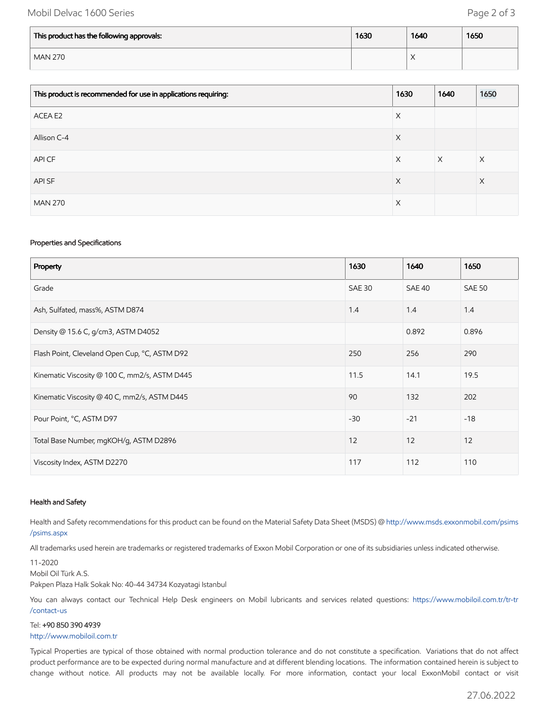# Mobil Delvac 1600 Series **Page 2 of 3**

| This product has the following approvals: | 1630 | 1640                            | 1650 |
|-------------------------------------------|------|---------------------------------|------|
| <b>MAN 270</b>                            |      | $\sqrt{}$<br>$\curvearrowright$ |      |

| This product is recommended for use in applications requiring: | 1630 | 1640     | 1650 |
|----------------------------------------------------------------|------|----------|------|
| ACEA E2                                                        | X    |          |      |
| Allison C-4                                                    | X    |          |      |
| API CF                                                         | X    | $\times$ | Χ    |
| API SF                                                         | X    |          | X    |
| <b>MAN 270</b>                                                 | Χ    |          |      |

#### Properties and Specifications

| Property                                      | 1630          | 1640          | 1650          |
|-----------------------------------------------|---------------|---------------|---------------|
| Grade                                         | <b>SAE 30</b> | <b>SAE 40</b> | <b>SAE 50</b> |
| Ash, Sulfated, mass%, ASTM D874               | 1.4           | 1.4           | 1.4           |
| Density @ 15.6 C, g/cm3, ASTM D4052           |               | 0.892         | 0.896         |
| Flash Point, Cleveland Open Cup, °C, ASTM D92 | 250           | 256           | 290           |
| Kinematic Viscosity @ 100 C, mm2/s, ASTM D445 | 11.5          | 14.1          | 19.5          |
| Kinematic Viscosity @ 40 C, mm2/s, ASTM D445  | 90            | 132           | 202           |
| Pour Point, °C, ASTM D97                      | $-30$         | $-21$         | $-18$         |
| Total Base Number, mgKOH/g, ASTM D2896        | 12            | 12            | 12            |
| Viscosity Index, ASTM D2270                   | 117           | 112           | 110           |

#### Health and Safety

Health and Safety recommendations for this product can be found on the Material Safety Data Sheet (MSDS) @ [http://www.msds.exxonmobil.com/psims](http://www.msds.exxonmobil.com/psims/psims.aspx) /psims.aspx

All trademarks used herein are trademarks or registered trademarks of Exxon Mobil Corporation or one of its subsidiaries unless indicated otherwise.

#### 11-2020

Mobil Oil Türk A.S.

Pakpen Plaza Halk Sokak No: 40-44 34734 Kozyatagi Istanbul

You can always contact our Technical Help Desk engineers on Mobil lubricants and services related questions: https://www.mobiloil.com.tr/tr-tr /contact-us

#### Tel: +90 850 390 4939

#### [http://www.mobiloil.com.tr](http://www.mobiloil.com.tr/)

Typical Properties are typical of those obtained with normal production tolerance and do not constitute a specification. Variations that do not affect product performance are to be expected during normal manufacture and at different blending locations. The information contained herein is subject to change without notice. All products may not be available locally. For more information, contact your local ExxonMobil contact or visit